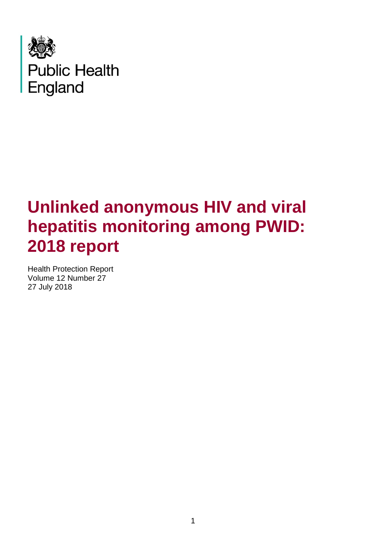

# **Unlinked anonymous HIV and viral hepatitis monitoring among PWID: 2018 report**

Health Protection Report Volume 12 Number 27 27 July 2018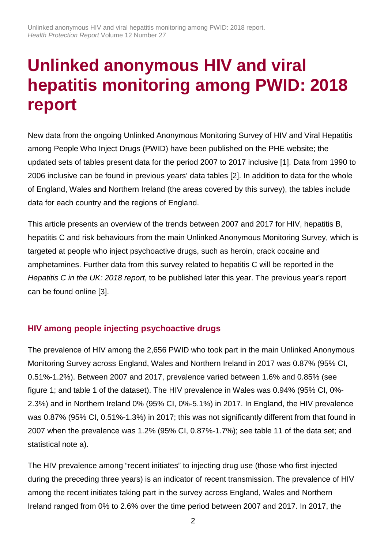# **Unlinked anonymous HIV and viral hepatitis monitoring among PWID: 2018 report**

New data from the ongoing Unlinked Anonymous Monitoring Survey of HIV and Viral Hepatitis among People Who Inject Drugs (PWID) have been published on the PHE website; the updated sets of tables present data for the period 2007 to 2017 inclusive [1]. Data from 1990 to 2006 inclusive can be found in previous years' data tables [2]. In addition to data for the whole of England, Wales and Northern Ireland (the areas covered by this survey), the tables include data for each country and the regions of England.

This article presents an overview of the trends between 2007 and 2017 for HIV, hepatitis B, hepatitis C and risk behaviours from the main Unlinked Anonymous Monitoring Survey, which is targeted at people who inject psychoactive drugs, such as heroin, crack cocaine and amphetamines. Further data from this survey related to hepatitis C will be reported in the *Hepatitis C in the UK: 2018 report*, to be published later this year. The previous year's report can be found online [3].

## **HIV among people injecting psychoactive drugs**

The prevalence of HIV among the 2,656 PWID who took part in the main Unlinked Anonymous Monitoring Survey across England, Wales and Northern Ireland in 2017 was 0.87% (95% CI, 0.51%-1.2%). Between 2007 and 2017, prevalence varied between 1.6% and 0.85% (see figure 1; and table 1 of the dataset). The HIV prevalence in Wales was 0.94% (95% CI, 0%- 2.3%) and in Northern Ireland 0% (95% CI, 0%-5.1%) in 2017. In England, the HIV prevalence was 0.87% (95% CI, 0.51%-1.3%) in 2017; this was not significantly different from that found in 2007 when the prevalence was 1.2% (95% CI, 0.87%-1.7%); see table 11 of the data set; and statistical note a).

The HIV prevalence among "recent initiates" to injecting drug use (those who first injected during the preceding three years) is an indicator of recent transmission. The prevalence of HIV among the recent initiates taking part in the survey across England, Wales and Northern Ireland ranged from 0% to 2.6% over the time period between 2007 and 2017. In 2017, the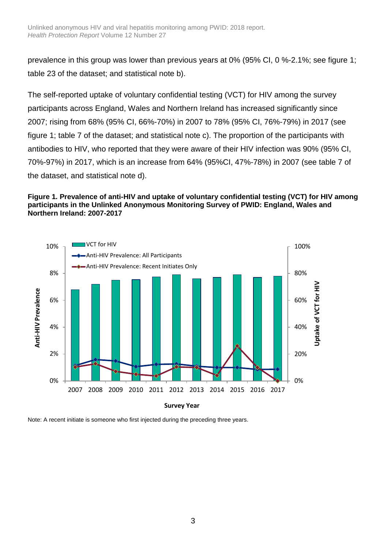prevalence in this group was lower than previous years at 0% (95% CI, 0 %-2.1%; see figure 1; table 23 of the dataset; and statistical note b).

The self-reported uptake of voluntary confidential testing (VCT) for HIV among the survey participants across England, Wales and Northern Ireland has increased significantly since 2007; rising from 68% (95% CI, 66%-70%) in 2007 to 78% (95% CI, 76%-79%) in 2017 (see figure 1; table 7 of the dataset; and statistical note c). The proportion of the participants with antibodies to HIV, who reported that they were aware of their HIV infection was 90% (95% CI, 70%-97%) in 2017, which is an increase from 64% (95%CI, 47%-78%) in 2007 (see table 7 of the dataset, and statistical note d).

#### **Figure 1. Prevalence of anti-HIV and uptake of voluntary confidential testing (VCT) for HIV among participants in the Unlinked Anonymous Monitoring Survey of PWID: England, Wales and Northern Ireland: 2007-2017**



Note: A recent initiate is someone who first injected during the preceding three years.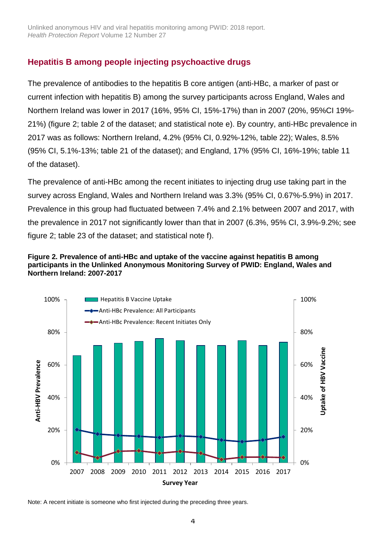## **Hepatitis B among people injecting psychoactive drugs**

The prevalence of antibodies to the hepatitis B core antigen (anti-HBc, a marker of past or current infection with hepatitis B) among the survey participants across England, Wales and Northern Ireland was lower in 2017 (16%, 95% CI, 15%-17%) than in 2007 (20%, 95%CI 19%- 21%) (figure 2; table 2 of the dataset; and statistical note e). By country, anti-HBc prevalence in 2017 was as follows: Northern Ireland, 4.2% (95% CI, 0.92%-12%, table 22); Wales, 8.5% (95% CI, 5.1%-13%; table 21 of the dataset); and England, 17% (95% CI, 16%-19%; table 11 of the dataset).

The prevalence of anti-HBc among the recent initiates to injecting drug use taking part in the survey across England, Wales and Northern Ireland was 3.3% (95% CI, 0.67%-5.9%) in 2017. Prevalence in this group had fluctuated between 7.4% and 2.1% between 2007 and 2017, with the prevalence in 2017 not significantly lower than that in 2007 (6.3%, 95% CI, 3.9%-9.2%; see figure 2; table 23 of the dataset; and statistical note f).

#### **Figure 2. Prevalence of anti-HBc and uptake of the vaccine against hepatitis B among participants in the Unlinked Anonymous Monitoring Survey of PWID: England, Wales and Northern Ireland: 2007-2017**



Note: A recent initiate is someone who first injected during the preceding three years.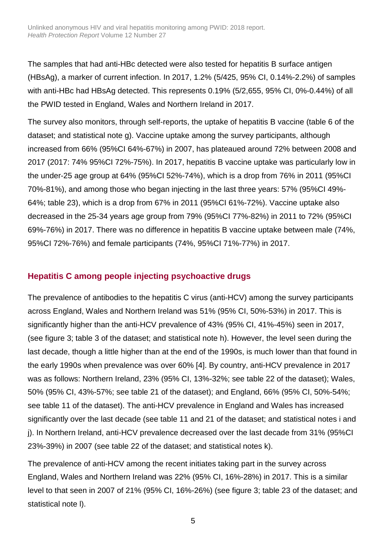The samples that had anti-HBc detected were also tested for hepatitis B surface antigen (HBsAg), a marker of current infection. In 2017, 1.2% (5/425, 95% CI, 0.14%-2.2%) of samples with anti-HBc had HBsAg detected. This represents 0.19% (5/2,655, 95% CI, 0%-0.44%) of all the PWID tested in England, Wales and Northern Ireland in 2017.

The survey also monitors, through self-reports, the uptake of hepatitis B vaccine (table 6 of the dataset; and statistical note g). Vaccine uptake among the survey participants, although increased from 66% (95%CI 64%-67%) in 2007, has plateaued around 72% between 2008 and 2017 (2017: 74% 95%CI 72%-75%). In 2017, hepatitis B vaccine uptake was particularly low in the under-25 age group at 64% (95%CI 52%-74%), which is a drop from 76% in 2011 (95%CI 70%-81%), and among those who began injecting in the last three years: 57% (95%CI 49%- 64%; table 23), which is a drop from 67% in 2011 (95%CI 61%-72%). Vaccine uptake also decreased in the 25-34 years age group from 79% (95%CI 77%-82%) in 2011 to 72% (95%CI 69%-76%) in 2017. There was no difference in hepatitis B vaccine uptake between male (74%, 95%CI 72%-76%) and female participants (74%, 95%CI 71%-77%) in 2017.

## **Hepatitis C among people injecting psychoactive drugs**

The prevalence of antibodies to the hepatitis C virus (anti-HCV) among the survey participants across England, Wales and Northern Ireland was 51% (95% CI, 50%-53%) in 2017. This is significantly higher than the anti-HCV prevalence of 43% (95% CI, 41%-45%) seen in 2017, (see figure 3; table 3 of the dataset; and statistical note h). However, the level seen during the last decade, though a little higher than at the end of the 1990s, is much lower than that found in the early 1990s when prevalence was over 60% [4]. By country, anti-HCV prevalence in 2017 was as follows: Northern Ireland, 23% (95% CI, 13%-32%; see table 22 of the dataset); Wales, 50% (95% CI, 43%-57%; see table 21 of the dataset); and England, 66% (95% CI, 50%-54%; see table 11 of the dataset). The anti-HCV prevalence in England and Wales has increased significantly over the last decade (see table 11 and 21 of the dataset; and statistical notes i and j). In Northern Ireland, anti-HCV prevalence decreased over the last decade from 31% (95%CI 23%-39%) in 2007 (see table 22 of the dataset; and statistical notes k).

The prevalence of anti-HCV among the recent initiates taking part in the survey across England, Wales and Northern Ireland was 22% (95% CI, 16%-28%) in 2017. This is a similar level to that seen in 2007 of 21% (95% CI, 16%-26%) (see figure 3; table 23 of the dataset; and statistical note l).

5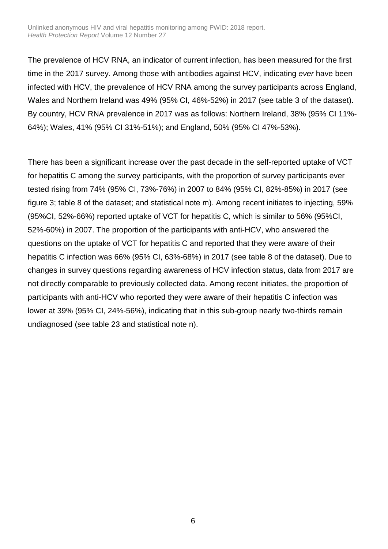The prevalence of HCV RNA, an indicator of current infection, has been measured for the first time in the 2017 survey. Among those with antibodies against HCV, indicating *ever* have been infected with HCV, the prevalence of HCV RNA among the survey participants across England, Wales and Northern Ireland was 49% (95% CI, 46%-52%) in 2017 (see table 3 of the dataset). By country, HCV RNA prevalence in 2017 was as follows: Northern Ireland, 38% (95% CI 11%- 64%); Wales, 41% (95% CI 31%-51%); and England, 50% (95% CI 47%-53%).

There has been a significant increase over the past decade in the self-reported uptake of VCT for hepatitis C among the survey participants, with the proportion of survey participants ever tested rising from 74% (95% CI, 73%-76%) in 2007 to 84% (95% CI, 82%-85%) in 2017 (see figure 3; table 8 of the dataset; and statistical note m). Among recent initiates to injecting, 59% (95%CI, 52%-66%) reported uptake of VCT for hepatitis C, which is similar to 56% (95%CI, 52%-60%) in 2007. The proportion of the participants with anti-HCV, who answered the questions on the uptake of VCT for hepatitis C and reported that they were aware of their hepatitis C infection was 66% (95% CI, 63%-68%) in 2017 (see table 8 of the dataset). Due to changes in survey questions regarding awareness of HCV infection status, data from 2017 are not directly comparable to previously collected data. Among recent initiates, the proportion of participants with anti-HCV who reported they were aware of their hepatitis C infection was lower at 39% (95% CI, 24%-56%), indicating that in this sub-group nearly two-thirds remain undiagnosed (see table 23 and statistical note n).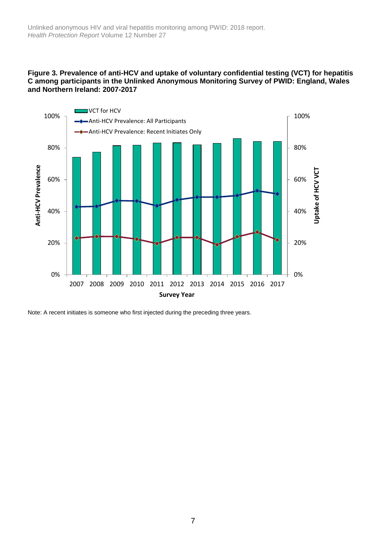#### **Figure 3. Prevalence of anti-HCV and uptake of voluntary confidential testing (VCT) for hepatitis C among participants in the Unlinked Anonymous Monitoring Survey of PWID: England, Wales and Northern Ireland: 2007-2017**



Note: A recent initiates is someone who first injected during the preceding three years.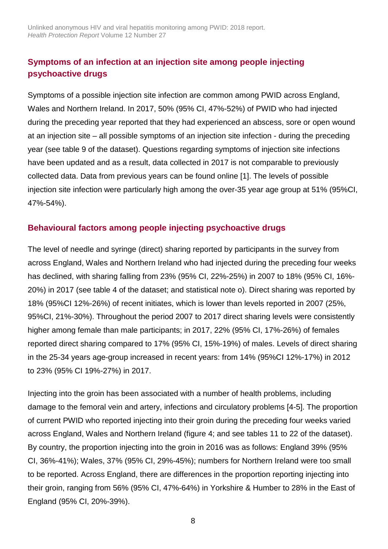# **Symptoms of an infection at an injection site among people injecting psychoactive drugs**

Symptoms of a possible injection site infection are common among PWID across England, Wales and Northern Ireland. In 2017, 50% (95% CI, 47%-52%) of PWID who had injected during the preceding year reported that they had experienced an abscess, sore or open wound at an injection site – all possible symptoms of an injection site infection - during the preceding year (see table 9 of the dataset). Questions regarding symptoms of injection site infections have been updated and as a result, data collected in 2017 is not comparable to previously collected data. Data from previous years can be found online [1]. The levels of possible injection site infection were particularly high among the over-35 year age group at 51% (95%CI, 47%-54%).

## **Behavioural factors among people injecting psychoactive drugs**

The level of needle and syringe (direct) sharing reported by participants in the survey from across England, Wales and Northern Ireland who had injected during the preceding four weeks has declined, with sharing falling from 23% (95% CI, 22%-25%) in 2007 to 18% (95% CI, 16%- 20%) in 2017 (see table 4 of the dataset; and statistical note o). Direct sharing was reported by 18% (95%CI 12%-26%) of recent initiates, which is lower than levels reported in 2007 (25%, 95%CI, 21%-30%). Throughout the period 2007 to 2017 direct sharing levels were consistently higher among female than male participants; in 2017, 22% (95% CI, 17%-26%) of females reported direct sharing compared to 17% (95% CI, 15%-19%) of males. Levels of direct sharing in the 25-34 years age-group increased in recent years: from 14% (95%CI 12%-17%) in 2012 to 23% (95% CI 19%-27%) in 2017.

Injecting into the groin has been associated with a number of health problems, including damage to the femoral vein and artery, infections and circulatory problems [4-5]. The proportion of current PWID who reported injecting into their groin during the preceding four weeks varied across England, Wales and Northern Ireland (figure 4; and see tables 11 to 22 of the dataset). By country, the proportion injecting into the groin in 2016 was as follows: England 39% (95% CI, 36%-41%); Wales, 37% (95% CI, 29%-45%); numbers for Northern Ireland were too small to be reported. Across England, there are differences in the proportion reporting injecting into their groin, ranging from 56% (95% CI, 47%-64%) in Yorkshire & Humber to 28% in the East of England (95% CI, 20%-39%).

8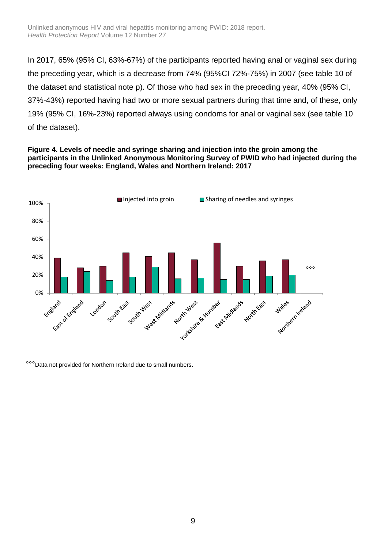In 2017, 65% (95% CI, 63%-67%) of the participants reported having anal or vaginal sex during the preceding year, which is a decrease from 74% (95%CI 72%-75%) in 2007 (see table 10 of the dataset and statistical note p). Of those who had sex in the preceding year, 40% (95% CI, 37%-43%) reported having had two or more sexual partners during that time and, of these, only 19% (95% CI, 16%-23%) reported always using condoms for anal or vaginal sex (see table 10 of the dataset).

#### **Figure 4. Levels of needle and syringe sharing and injection into the groin among the participants in the Unlinked Anonymous Monitoring Survey of PWID who had injected during the preceding four weeks: England, Wales and Northern Ireland: 2017**



°°°Data not provided for Northern Ireland due to small numbers.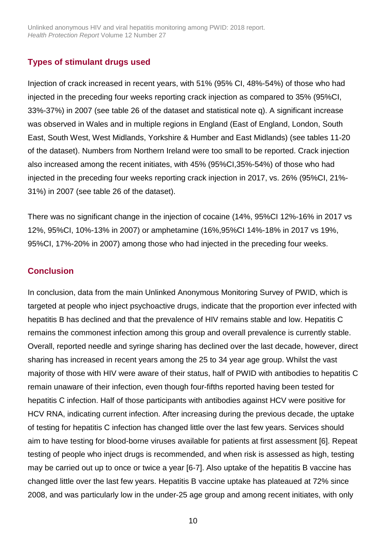Unlinked anonymous HIV and viral hepatitis monitoring among PWID: 2018 report. *Health Protection Report* Volume 12 Number 27

### **Types of stimulant drugs used**

Injection of crack increased in recent years, with 51% (95% CI, 48%-54%) of those who had injected in the preceding four weeks reporting crack injection as compared to 35% (95%CI, 33%-37%) in 2007 (see table 26 of the dataset and statistical note q). A significant increase was observed in Wales and in multiple regions in England (East of England, London, South East, South West, West Midlands, Yorkshire & Humber and East Midlands) (see tables 11-20 of the dataset). Numbers from Northern Ireland were too small to be reported. Crack injection also increased among the recent initiates, with 45% (95%CI,35%-54%) of those who had injected in the preceding four weeks reporting crack injection in 2017, vs. 26% (95%CI, 21%- 31%) in 2007 (see table 26 of the dataset).

There was no significant change in the injection of cocaine (14%, 95%CI 12%-16% in 2017 vs 12%, 95%CI, 10%-13% in 2007) or amphetamine (16%,95%CI 14%-18% in 2017 vs 19%, 95%CI, 17%-20% in 2007) among those who had injected in the preceding four weeks.

#### **Conclusion**

In conclusion, data from the main Unlinked Anonymous Monitoring Survey of PWID, which is targeted at people who inject psychoactive drugs, indicate that the proportion ever infected with hepatitis B has declined and that the prevalence of HIV remains stable and low. Hepatitis C remains the commonest infection among this group and overall prevalence is currently stable. Overall, reported needle and syringe sharing has declined over the last decade, however, direct sharing has increased in recent years among the 25 to 34 year age group. Whilst the vast majority of those with HIV were aware of their status, half of PWID with antibodies to hepatitis C remain unaware of their infection, even though four-fifths reported having been tested for hepatitis C infection. Half of those participants with antibodies against HCV were positive for HCV RNA, indicating current infection. After increasing during the previous decade, the uptake of testing for hepatitis C infection has changed little over the last few years. Services should aim to have testing for blood-borne viruses available for patients at first assessment [6]. Repeat testing of people who inject drugs is recommended, and when risk is assessed as high, testing may be carried out up to once or twice a year [6-7]. Also uptake of the hepatitis B vaccine has changed little over the last few years. Hepatitis B vaccine uptake has plateaued at 72% since 2008, and was particularly low in the under-25 age group and among recent initiates, with only

10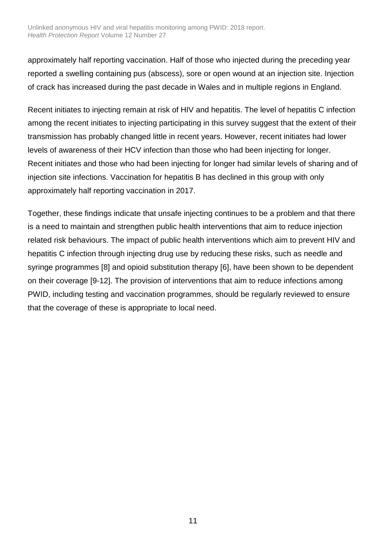approximately half reporting vaccination. Half of those who injected during the preceding year reported a swelling containing pus (abscess), sore or open wound at an injection site. Injection of crack has increased during the past decade in Wales and in multiple regions in England.

Recent initiates to injecting remain at risk of HIV and hepatitis. The level of hepatitis C infection among the recent initiates to injecting participating in this survey suggest that the extent of their transmission has probably changed little in recent years. However, recent initiates had lower levels of awareness of their HCV infection than those who had been injecting for longer. Recent initiates and those who had been injecting for longer had similar levels of sharing and of injection site infections. Vaccination for hepatitis B has declined in this group with only approximately half reporting vaccination in 2017.

Together, these findings indicate that unsafe injecting continues to be a problem and that there is a need to maintain and strengthen public health interventions that aim to reduce injection related risk behaviours. The impact of public health interventions which aim to prevent HIV and hepatitis C infection through injecting drug use by reducing these risks, such as needle and syringe programmes [8] and opioid substitution therapy [6], have been shown to be dependent on their coverage [9-12]. The provision of interventions that aim to reduce infections among PWID, including testing and vaccination programmes, should be regularly reviewed to ensure that the coverage of these is appropriate to local need.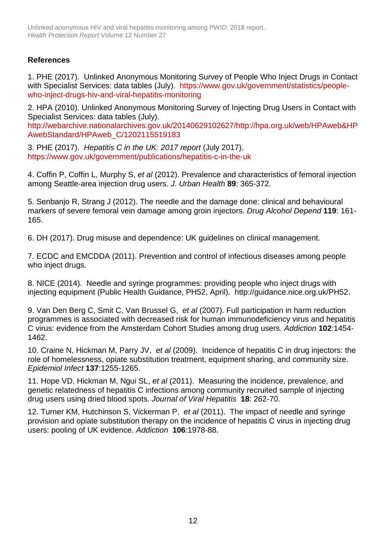## **References**

1. PHE (2017). Unlinked Anonymous Monitoring Survey of People Who Inject Drugs in Contact with Specialist Services: data tables (July). [https://www.gov.uk/government/statistics/people](http://www.hpa.org.uk/web/HPAweb&HPAwebStandard/HPAweb_C/1202115519183)[who-inject-drugs-hiv-and-viral-hepatitis-monitoring](http://www.hpa.org.uk/web/HPAweb&HPAwebStandard/HPAweb_C/1202115519183)

2. HPA (2010). Unlinked Anonymous Monitoring Survey of Injecting Drug Users in Contact with Specialist Services: data tables (July).

[http://webarchive.nationalarchives.gov.uk/20140629102627/http://hpa.org.uk/web/HPAweb&HP](http://webarchive.nationalarchives.gov.uk/20140629102627/http:/hpa.org.uk/web/HPAweb&HPAwebStandard/HPAweb_C/1202115519183) [AwebStandard/HPAweb\\_C/1202115519183](http://webarchive.nationalarchives.gov.uk/20140629102627/http:/hpa.org.uk/web/HPAweb&HPAwebStandard/HPAweb_C/1202115519183)

3. PHE (2017). *Hepatitis C in the UK: 2017 report* (July 2017). <https://www.gov.uk/government/publications/hepatitis-c-in-the-uk>

4. Coffin P, Coffin L, Murphy S, *et al* (2012). Prevalence and characteristics of femoral injection among Seattle-area injection drug users. *J. Urban Health* **89**: 365-372.

5. Senbanjo R, Strang J (2012). The needle and the damage done: clinical and behavioural markers of severe femoral vein damage among groin injectors. *Drug Alcohol Depend* **119**: 161- 165.

6. DH (2017). Drug misuse and dependence: UK guidelines on clinical management.

7. ECDC and EMCDDA (2011). Prevention and control of infectious diseases among people who inject drugs.

8. NICE (2014). Needle and syringe programmes: providing people who inject drugs with injecting equipment (Public Health Guidance, PH52, April). http://guidance.nice.org.uk/PH52.

9. Van Den Berg C, Smit C, Van Brussel G, *et al* (2007). Full participation in harm reduction programmes is associated with decreased risk for human immunodeficiency virus and hepatitis C virus: evidence from the Amsterdam Cohort Studies among drug users. *Addiction* **102**:1454- 1462.

10. Craine N, Hickman M, Parry JV, *et al* (2009). Incidence of hepatitis C in drug injectors: the role of homelessness, opiate substitution treatment, equipment sharing, and community size. *Epidemiol Infect* **137**:1255-1265.

11. Hope VD, Hickman M, Ngui SL, *et al* (2011). Measuring the incidence, prevalence, and genetic relatedness of hepatitis C infections among community recruited sample of injecting drug users using dried blood spots. *Journal of Viral Hepatitis* **18**: 262-70.

12. Turner KM, Hutchinson S, Vickerman P, *et al* (2011). The impact of needle and syringe provision and opiate substitution therapy on the incidence of hepatitis C virus in injecting drug users: pooling of UK evidence. *Addiction* **106**:1978-88.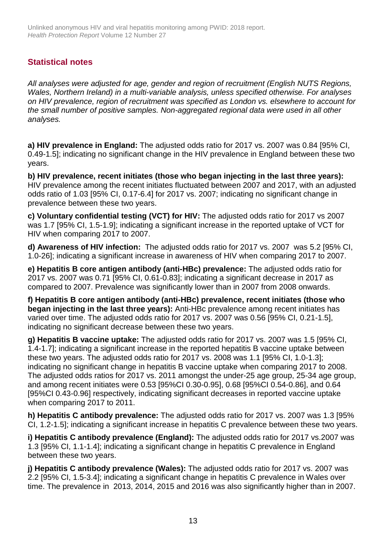## **Statistical notes**

*All analyses were adjusted for age, gender and region of recruitment (English NUTS Regions, Wales, Northern Ireland) in a multi-variable analysis, unless specified otherwise. For analyses on HIV prevalence, region of recruitment was specified as London vs. elsewhere to account for the small number of positive samples. Non-aggregated regional data were used in all other analyses.* 

**a) HIV prevalence in England:** The adjusted odds ratio for 2017 vs. 2007 was 0.84 [95% CI, 0.49-1.5]; indicating no significant change in the HIV prevalence in England between these two years.

**b) HIV prevalence, recent initiates (those who began injecting in the last three years):**  HIV prevalence among the recent initiates fluctuated between 2007 and 2017, with an adjusted odds ratio of 1.03 [95% CI, 0.17-6.4] for 2017 vs. 2007; indicating no significant change in prevalence between these two years.

**c) Voluntary confidential testing (VCT) for HIV:** The adjusted odds ratio for 2017 vs 2007 was 1.7 [95% CI, 1.5-1.9]; indicating a significant increase in the reported uptake of VCT for HIV when comparing 2017 to 2007.

**d) Awareness of HIV infection:** The adjusted odds ratio for 2017 vs. 2007 was 5.2 [95% CI, 1.0-26]; indicating a significant increase in awareness of HIV when comparing 2017 to 2007.

**e) Hepatitis B core antigen antibody (anti-HBc) prevalence:** The adjusted odds ratio for 2017 vs. 2007 was 0.71 [95% CI, 0.61-0.83]; indicating a significant decrease in 2017 as compared to 2007. Prevalence was significantly lower than in 2007 from 2008 onwards.

**f) Hepatitis B core antigen antibody (anti-HBc) prevalence, recent initiates (those who began injecting in the last three years):** Anti-HBc prevalence among recent initiates has varied over time. The adjusted odds ratio for 2017 vs. 2007 was 0.56 [95% CI, 0.21-1.5], indicating no significant decrease between these two years.

**g) Hepatitis B vaccine uptake:** The adjusted odds ratio for 2017 vs. 2007 was 1.5 [95% CI, 1.4-1.7]; indicating a significant increase in the reported hepatitis B vaccine uptake between these two years. The adjusted odds ratio for 2017 vs. 2008 was 1.1 [95% CI, 1.0-1.3]; indicating no significant change in hepatitis B vaccine uptake when comparing 2017 to 2008. The adjusted odds ratios for 2017 vs. 2011 amongst the under-25 age group, 25-34 age group, and among recent initiates were 0.53 [95%CI 0.30-0.95], 0.68 [95%CI 0.54-0.86], and 0.64 [95%CI 0.43-0.96] respectively, indicating significant decreases in reported vaccine uptake when comparing 2017 to 2011.

**h) Hepatitis C antibody prevalence:** The adjusted odds ratio for 2017 vs. 2007 was 1.3 [95% CI, 1.2-1.5]; indicating a significant increase in hepatitis C prevalence between these two years.

**i) Hepatitis C antibody prevalence (England):** The adjusted odds ratio for 2017 vs.2007 was 1.3 [95% CI, 1.1-1.4]; indicating a significant change in hepatitis C prevalence in England between these two years.

**j) Hepatitis C antibody prevalence (Wales):** The adjusted odds ratio for 2017 vs. 2007 was 2.2 [95% CI, 1.5-3.4]; indicating a significant change in hepatitis C prevalence in Wales over time. The prevalence in 2013, 2014, 2015 and 2016 was also significantly higher than in 2007.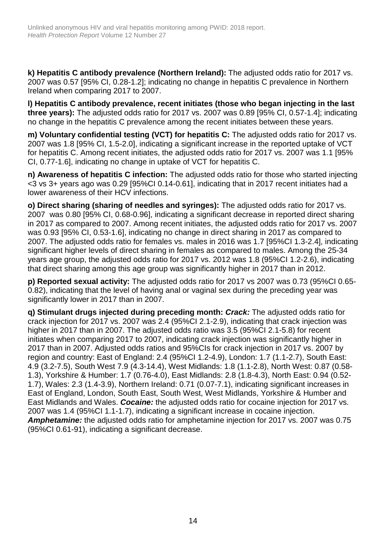**k) Hepatitis C antibody prevalence (Northern Ireland):** The adjusted odds ratio for 2017 vs. 2007 was 0.57 [95% CI, 0.28-1.2]; indicating no change in hepatitis C prevalence in Northern Ireland when comparing 2017 to 2007.

**l) Hepatitis C antibody prevalence, recent initiates (those who began injecting in the last three years):** The adjusted odds ratio for 2017 vs. 2007 was 0.89 [95% CI, 0.57-1.4]; indicating no change in the hepatitis C prevalence among the recent initiates between these years.

**m) Voluntary confidential testing (VCT) for hepatitis C:** The adjusted odds ratio for 2017 vs. 2007 was 1.8 [95% CI, 1.5-2.0], indicating a significant increase in the reported uptake of VCT for hepatitis C. Among recent initiates, the adjusted odds ratio for 2017 vs. 2007 was 1.1 [95% CI, 0.77-1.6], indicating no change in uptake of VCT for hepatitis C.

**n) Awareness of hepatitis C infection:** The adjusted odds ratio for those who started injecting <3 vs 3+ years ago was 0.29 [95%CI 0.14-0.61], indicating that in 2017 recent initiates had a lower awareness of their HCV infections.

**o) Direct sharing (sharing of needles and syringes):** The adjusted odds ratio for 2017 vs. 2007 was 0.80 [95% CI, 0.68-0.96], indicating a significant decrease in reported direct sharing in 2017 as compared to 2007. Among recent initiates, the adjusted odds ratio for 2017 vs. 2007 was 0.93 [95% CI, 0.53-1.6], indicating no change in direct sharing in 2017 as compared to 2007. The adjusted odds ratio for females vs. males in 2016 was 1.7 [95%CI 1.3-2.4], indicating significant higher levels of direct sharing in females as compared to males. Among the 25-34 years age group, the adjusted odds ratio for 2017 vs. 2012 was 1.8 (95%CI 1.2-2.6), indicating that direct sharing among this age group was significantly higher in 2017 than in 2012.

**p) Reported sexual activity:** The adjusted odds ratio for 2017 vs 2007 was 0.73 (95%CI 0.65- 0.82), indicating that the level of having anal or vaginal sex during the preceding year was significantly lower in 2017 than in 2007.

**q) Stimulant drugs injected during preceding month:** *Crack:* The adjusted odds ratio for crack injection for 2017 vs. 2007 was 2.4 (95%CI 2.1-2.9), indicating that crack injection was higher in 2017 than in 2007. The adjusted odds ratio was 3.5 (95%CI 2.1-5.8) for recent initiates when comparing 2017 to 2007, indicating crack injection was significantly higher in 2017 than in 2007. Adjusted odds ratios and 95%CIs for crack injection in 2017 vs. 2007 by region and country: East of England: 2.4 (95%CI 1.2-4.9), London: 1.7 (1.1-2.7), South East: 4.9 (3.2-7.5), South West 7.9 (4.3-14.4), West Midlands: 1.8 (1.1-2.8), North West: 0.87 (0.58- 1.3), Yorkshire & Humber: 1.7 (0.76-4.0), East Midlands: 2.8 (1.8-4.3), North East: 0.94 (0.52- 1.7), Wales: 2.3 (1.4-3.9), Northern Ireland: 0.71 (0.07-7.1), indicating significant increases in East of England, London, South East, South West, West Midlands, Yorkshire & Humber and East Midlands and Wales. *Cocaine:* the adjusted odds ratio for cocaine injection for 2017 vs. 2007 was 1.4 (95%CI 1.1-1.7), indicating a significant increase in cocaine injection. *Amphetamine:* the adjusted odds ratio for amphetamine injection for 2017 vs. 2007 was 0.75 (95%CI 0.61-91), indicating a significant decrease.